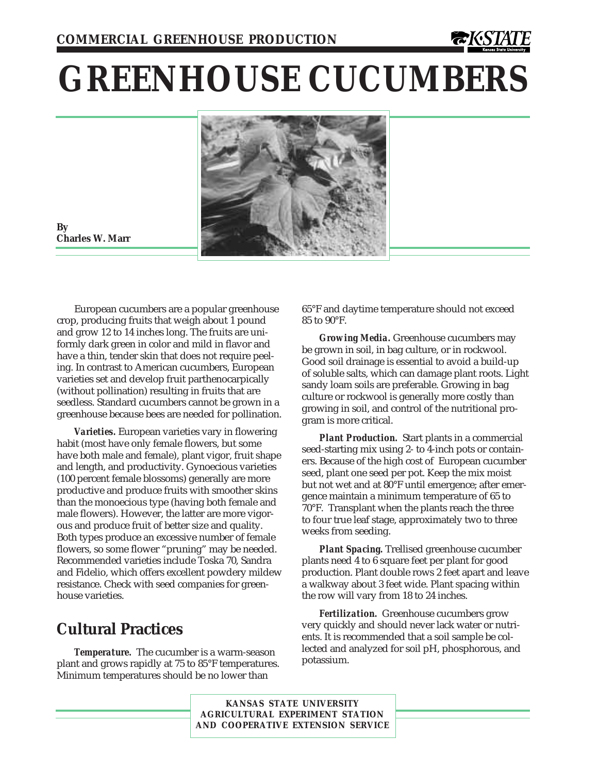# **GREENHOUSE CUCUMBERS**



**By Charles W. Marr**

European cucumbers are a popular greenhouse crop, producing fruits that weigh about 1 pound and grow 12 to 14 inches long. The fruits are uniformly dark green in color and mild in flavor and have a thin, tender skin that does not require peeling. In contrast to American cucumbers, European varieties set and develop fruit parthenocarpically (without pollination) resulting in fruits that are seedless. Standard cucumbers cannot be grown in a greenhouse because bees are needed for pollination.

*Varieties.* European varieties vary in flowering habit (most have only female flowers, but some have both male and female), plant vigor, fruit shape and length, and productivity. Gynoecious varieties (100 percent female blossoms) generally are more productive and produce fruits with smoother skins than the monoecious type (having both female and male flowers). However, the latter are more vigorous and produce fruit of better size and quality. Both types produce an excessive number of female flowers, so some flower "pruning" may be needed. Recommended varieties include Toska 70, Sandra and Fidelio, which offers excellent powdery mildew resistance. Check with seed companies for greenhouse varieties.

# **Cultural Practices**

*Temperature.* The cucumber is a warm-season plant and grows rapidly at 75 to 85°F temperatures. Minimum temperatures should be no lower than

65°F and daytime temperature should not exceed 85 to 90°F.

*Growing Media.* Greenhouse cucumbers may be grown in soil, in bag culture, or in rockwool. Good soil drainage is essential to avoid a build-up of soluble salts, which can damage plant roots. Light sandy loam soils are preferable. Growing in bag culture or rockwool is generally more costly than growing in soil, and control of the nutritional program is more critical.

*Plant Production.* Start plants in a commercial seed-starting mix using 2- to 4-inch pots or containers. Because of the high cost of European cucumber seed, plant one seed per pot. Keep the mix moist but not wet and at 80°F until emergence; after emergence maintain a minimum temperature of 65 to 70°F. Transplant when the plants reach the three to four true leaf stage, approximately two to three weeks from seeding.

*Plant Spacing.* Trellised greenhouse cucumber plants need 4 to 6 square feet per plant for good production. Plant double rows 2 feet apart and leave a walkway about 3 feet wide. Plant spacing within the row will vary from 18 to 24 inches.

*Fertilization.* Greenhouse cucumbers grow very quickly and should never lack water or nutrients. It is recommended that a soil sample be collected and analyzed for soil pH, phosphorous, and potassium.

**KANSAS STATE UNIVERSITY AGRICULTURAL EXPERIMENT STATION AND COOPERATIVE EXTENSION SERVICE**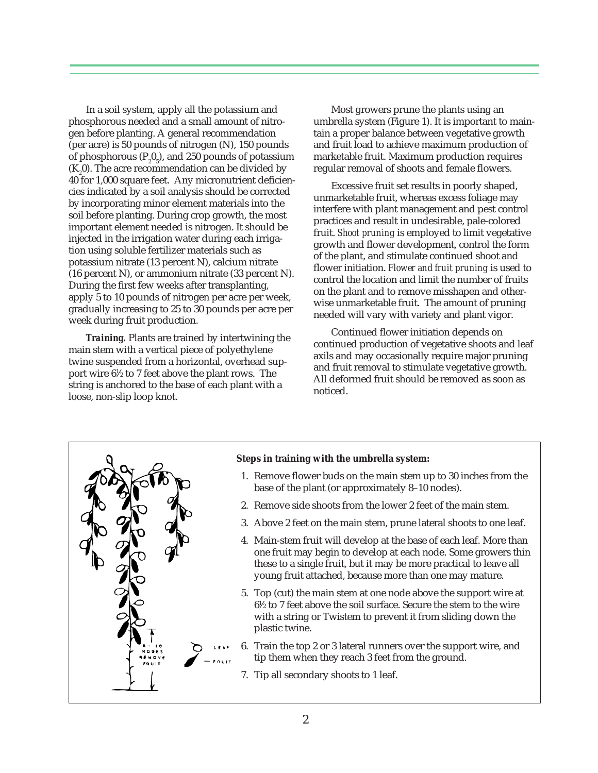In a soil system, apply all the potassium and phosphorous needed and a small amount of nitrogen before planting. A general recommendation (per acre) is 50 pounds of nitrogen (N), 150 pounds of phosphorous ( $P_2O_5$ ), and 250 pounds of potassium  $(K_2 0)$ . The acre recommendation can be divided by 40 for 1,000 square feet. Any micronutrient deficiencies indicated by a soil analysis should be corrected by incorporating minor element materials into the soil before planting. During crop growth, the most important element needed is nitrogen. It should be injected in the irrigation water during each irrigation using soluble fertilizer materials such as potassium nitrate (13 percent N), calcium nitrate (16 percent N), or ammonium nitrate (33 percent N). During the first few weeks after transplanting, apply 5 to 10 pounds of nitrogen per acre per week, gradually increasing to 25 to 30 pounds per acre per week during fruit production.

*Training.* Plants are trained by intertwining the main stem with a vertical piece of polyethylene twine suspended from a horizontal, overhead support wire 61 ⁄2 to 7 feet above the plant rows. The string is anchored to the base of each plant with a loose, non-slip loop knot.

Most growers prune the plants using an umbrella system (Figure 1). It is important to maintain a proper balance between vegetative growth and fruit load to achieve maximum production of marketable fruit. Maximum production requires regular removal of shoots and female flowers.

Excessive fruit set results in poorly shaped, unmarketable fruit, whereas excess foliage may interfere with plant management and pest control practices and result in undesirable, pale-colored fruit. *Shoot pruning* is employed to limit vegetative growth and flower development, control the form of the plant, and stimulate continued shoot and flower initiation. *Flower and fruit pruning* is used to control the location and limit the number of fruits on the plant and to remove misshapen and otherwise unmarketable fruit. The amount of pruning needed will vary with variety and plant vigor.

Continued flower initiation depends on continued production of vegetative shoots and leaf axils and may occasionally require major pruning and fruit removal to stimulate vegetative growth. All deformed fruit should be removed as soon as noticed.



#### **Steps in training with the umbrella system:**

- 1. Remove flower buds on the main stem up to 30 inches from the base of the plant (or approximately 8–10 nodes).
- 2. Remove side shoots from the lower 2 feet of the main stem.
- 3. Above 2 feet on the main stem, prune lateral shoots to one leaf.
- 4. Main-stem fruit will develop at the base of each leaf. More than one fruit may begin to develop at each node. Some growers thin these to a single fruit, but it may be more practical to leave all young fruit attached, because more than one may mature.
- 5. Top (cut) the main stem at one node above the support wire at 61 ⁄2 to 7 feet above the soil surface. Secure the stem to the wire with a string or Twistem to prevent it from sliding down the plastic twine.
- 6. Train the top 2 or 3 lateral runners over the support wire, and tip them when they reach 3 feet from the ground.
	- 7. Tip all secondary shoots to 1 leaf.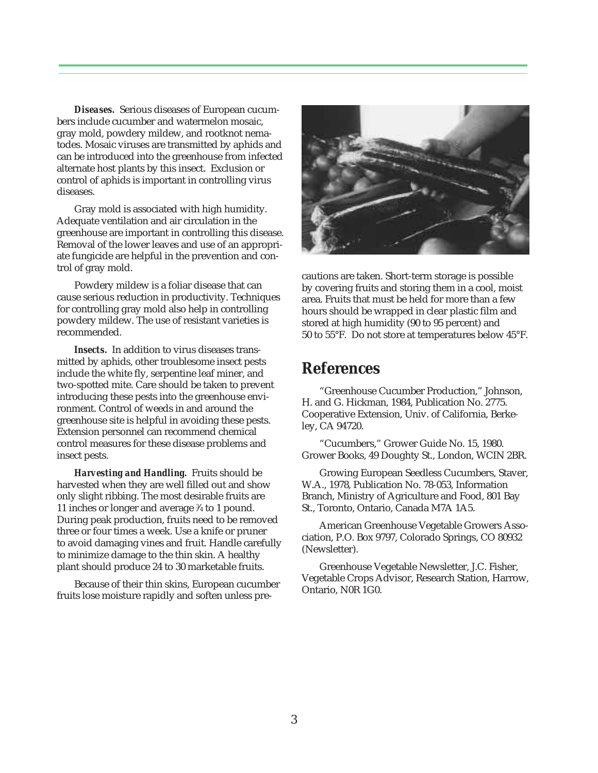*Diseases.* Serious diseases of European cucumbers include cucumber and watermelon mosaic, gray mold, powdery mildew, and rootknot nematodes. Mosaic viruses are transmitted by aphids and can be introduced into the greenhouse from infected alternate host plants by this insect. Exclusion or control of aphids is important in controlling virus diseases.

Gray mold is associated with high humidity. Adequate ventilation and air circulation in the greenhouse are important in controlling this disease. Removal of the lower leaves and use of an appropriate fungicide are helpful in the prevention and control of gray mold.

Powdery mildew is a foliar disease that can cause serious reduction in productivity. Techniques for controlling gray mold also help in controlling powdery mildew. The use of resistant varieties is recommended.

*Insects.* In addition to virus diseases transmitted by aphids, other troublesome insect pests include the white fly, serpentine leaf miner, and two-spotted mite. Care should be taken to prevent introducing these pests into the greenhouse environment. Control of weeds in and around the greenhouse site is helpful in avoiding these pests. Extension personnel can recommend chemical control measures for these disease problems and insect pests.

*Harvesting and Handling.* Fruits should be harvested when they are well filled out and show only slight ribbing. The most desirable fruits are 11 inches or longer and average 3 ⁄4 to 1 pound. During peak production, fruits need to be removed three or four times a week. Use a knife or pruner to avoid damaging vines and fruit. Handle carefully to minimize damage to the thin skin. A healthy plant should produce 24 to 30 marketable fruits.

Because of their thin skins, European cucumber fruits lose moisture rapidly and soften unless pre-



cautions are taken. Short-term storage is possible by covering fruits and storing them in a cool, moist area. Fruits that must be held for more than a few hours should be wrapped in clear plastic film and stored at high humidity (90 to 95 percent) and 50 to 55°F. Do not store at temperatures below 45°F.

## **References**

"Greenhouse Cucumber Production," Johnson, H. and G. Hickman, 1984, Publication No. 2775. Cooperative Extension, Univ. of California, Berkeley, CA 94720.

"Cucumbers," Grower Guide No. 15, 1980. Grower Books, 49 Doughty St., London, WCIN 2BR.

Growing European Seedless Cucumbers, Staver, W.A., 1978, Publication No. 78-053, Information Branch, Ministry of Agriculture and Food, 801 Bay St., Toronto, Ontario, Canada M7A 1A5.

American Greenhouse Vegetable Growers Association, P.O. Box 9797, Colorado Springs, CO 80932 (Newsletter).

Greenhouse Vegetable Newsletter, J.C. Fisher, Vegetable Crops Advisor, Research Station, Harrow, Ontario, N0R 1G0.